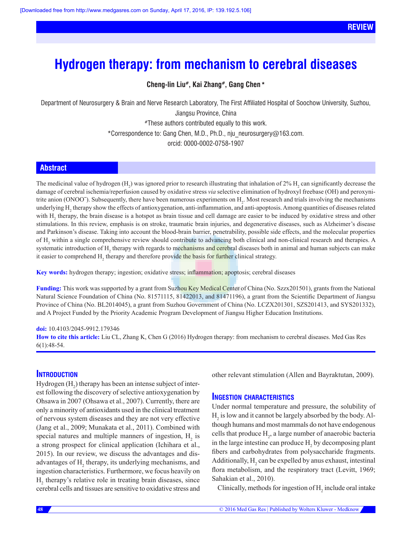# **Hydrogen therapy: from mechanism to cerebral diseases**

**Cheng-lin Liu#, Kai Zhang#, Gang Chen \***

Department of Neurosurgery & Brain and Nerve Research Laboratory, The First Affiliated Hospital of Soochow University, Suzhou, Jiangsu Province, China #These authors contributed equally to this work. \*Correspondence to: Gang Chen, M.D., Ph.D., nju\_neurosurgery@163.com.

orcid: [0000-0002-0758-1907](http://orcid.org/0000-0002-0758-1907)

## **Abstract**

The medicinal value of hydrogen  $(H_2)$  was ignored prior to research illustrating that inhalation of 2%  $H_2$  can significantly decrease the damage of cerebral ischemia/reperfusion caused by oxidative stress *via* selective elimination of hydroxyl freebase (OH) and peroxynitrite anion (ONOO<sup>-</sup>). Subsequently, there have been numerous experiments on  $H_2$ . Most research and trials involving the mechanisms underlying H<sub>2</sub> therapy show the effects of antioxygenation, anti-inflammation, and anti-apoptosis. Among quantities of diseases related with  $H_2$  therapy, the brain disease is a hotspot as brain tissue and cell damage are easier to be induced by oxidative stress and other stimulations. In this review, emphasis is on stroke, traumatic brain injuries, and degenerative diseases, such as Alzheimer's disease and Parkinson's disease. Taking into account the blood-brain barrier, penetrability, possible side effects, and the molecular properties of H<sub>2</sub> within a single comprehensive review should contribute to advancing both clinical and non-clinical research and therapies. A systematic introduction of H<sub>2</sub> therapy with regards to mechanisms and cerebral diseases both in animal and human subjects can make it easier to comprehend H<sub>2</sub> therapy and therefore provide the basis for further clinical strategy.

**Key words:** hydrogen therapy; ingestion; oxidative stress; inflammation; apoptosis; cerebral diseases

**Funding:** This work was supported by a grant from Suzhou Key Medical Center of China (No. Szzx201501), grants from the National Natural Science Foundation of China (No. 81571115, 81422013, and 81471196), a grant from the Scientific Department of Jiangsu Province of China (No. BL2014045), a grant from Suzhou Government of China (No. LCZX201301, SZS201413, and SYS201332), and A Project Funded by the Priority Academic Program Development of Jiangsu Higher Education Institutions.

#### **doi:** 10.4103/2045-9912.179346

**How to cite this article:** Liu CL, Zhang K, Chen G (2016) Hydrogen therapy: from mechanism to cerebral diseases. Med Gas Res 6(1):48-54.

## **Introduction**

Hydrogen  $(H_2)$  therapy has been an intense subject of interest following the discovery of selective antioxygenation by Ohsawa in 2007 (Ohsawa et al., 2007). Currently, there are only a minority of antioxidants used in the clinical treatment of nervous system diseases and they are not very effective (Jang et al., 2009; Munakata et al., 2011). Combined with special natures and multiple manners of ingestion,  $H_2$  is a strong prospect for clinical application (Ichihara et al., 2015). In our review, we discuss the advantages and disadvantages of  $H_2$  therapy, its underlying mechanisms, and ingestion characteristics. Furthermore, we focus heavily on  $H<sub>2</sub>$  therapy's relative role in treating brain diseases, since cerebral cells and tissues are sensitive to oxidative stress and

other relevant stimulation (Allen and Bayraktutan, 2009).

## **Ingestion characteristics**

Under normal temperature and pressure, the solubility of  $H<sub>2</sub>$  is low and it cannot be largely absorbed by the body. Although humans and most mammals do not have endogenous cells that produce  $H_2$ , a large number of anaerobic bacteria in the large intestine can produce  $H_2$  by decomposing plant fibers and carbohydrates from polysaccharide fragments. Additionally,  $H_2$  can be expelled by anus exhaust, intestinal flora metabolism, and the respiratory tract (Levitt, 1969; Sahakian et al., 2010).

Clinically, methods for ingestion of  $H_2$  include oral intake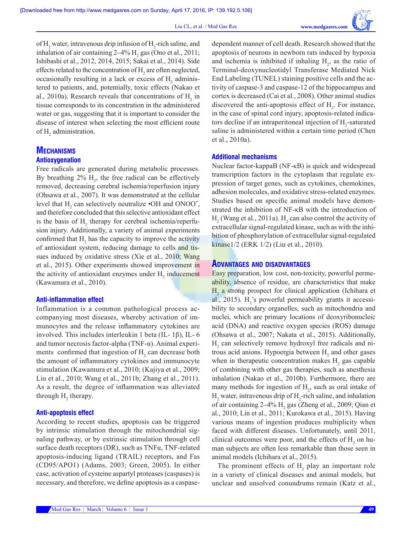of  $H_2$  water, intravenous drip infusion of  $H_2$ -rich saline, and inhalation of air containing  $2-4\%$  H<sub>2</sub> gas (Ono et al., 2011; Ishibashi et al., 2012, 2014, 2015; Sakai et al., 2014). Side effects related to the concentration of  $H_2$  are often neglected, occasionally resulting in a lack or excess of  $H_2$  administered to patients, and, potentially, toxic effects (Nakao et al., 2010a). Research reveals that concentrations of  $H_2$  in tissue corresponds to its concentration in the administered water or gas, suggesting that it is important to consider the disease of interest when selecting the most efficient route of  $H_2$  administration.

# **Mechanisms Antioxygenation**

Free radicals are generated during metabolic processes. By breathing  $2\%$  H<sub>2</sub>, the free radical can be effectively removed, decreasing cerebral ischemia/reperfusion injury (Ohsawa et al., 2007). It was demonstrated at the cellular level that  $H_2$  can selectively neutralize  $\cdot$ OH and ONOO<sup>-</sup>, and therefore concluded that this selective antioxidant effect is the basis of  $H_2$  therapy for cerebral ischemia/reperfusion injury. Additionally, a variety of animal experiments confirmed that  $H_2$  has the capacity to improve the activity of antioxidant system, reducing damage to cells and tissues induced by oxidative stress (Xie et al., 2010; Wang et al., 2015). Other experiments showed improvement in the activity of antioxidant enzymes under  $H_2$  inducement (Kawamura et al., 2010).

#### **Anti-inflammation effect**

Inflammation is a common pathological process accompanying most diseases, whereby activation of immunocytes and the release inflammatory cytokines are involved. This includes interleukin 1 beta (IL- 1β), IL- 6 and tumor necrosis factor-alpha (TNF-α). Animal experiments confirmed that ingestion of  $H_2$  can decrease both the amount of inflammatory cytokines and immunocyte stimulation (Kawamura et al., 2010; (Kajiya et al., 2009; Liu et al., 2010; Wang et al., 2011b; Zhang et al., 2011). As a result, the degree of inflammation was alleviated through  $H_2$  therapy.

#### **Anti-apoptosis effect**

According to recent studies, apoptosis can be triggered by intrinsic stimulation through the mitochondrial signaling pathway, or by extrinsic stimulation through cell surface death receptors (DR), such as TNFα, TNF-related apoptosis-inducing ligand (TRAIL) receptors, and Fas (CD95/APO1) (Adams, 2003; Green, 2005). In either case, activation of cysteine aspartyl proteases (caspases) is necessary, and therefore, we define apoptosis as a caspasedependent manner of cell death. Research showed that the apoptosis of neurons in newborn rats induced by hypoxia and ischemia is inhibited if inhaling  $H_2$ , as the ratio of Terminal-deoxynucleotidyl Transferase Mediated Nick End Labeling (TUNEL) staining positive cells and the activity of caspase-3 and caspase-12 of the hippocampus and cortex is decreased (Cai et al., 2008). Other animal studies discovered the anti-apoptosis effect of  $H_2$ . For instance, in the case of spinal cord injury, apoptosis-related indicators decline if an intraperitoneal injection of  $H_2$ -saturated saline is administered within a certain time period (Chen et al., 2010a).

## **Additional mechanisms**

Nuclear factor-kappaB (NF-κB) is quick and widespread transcription factors in the cytoplasm that regulate expression of target genes, such as cytokines, chemokines, adhesion molecules, and oxidative stress-related enzymes. Studies based on specific animal models have demonstrated the inhibition of NF-κB with the introduction of  $H_2$  (Wang et al., 2011a).  $H_2$  can also control the activity of extracellular signal-regulated kinase, such as with the inhibition of phosphorylation of extracellular signal-regulated kinase1/2 (ERK 1/2) (Liu et al., 2010).

#### **Advantages and disadvantages**

Easy preparation, low cost, non-toxicity, powerful permeability, absence of residue, are characteristics that make  $H<sub>2</sub>$  a strong prospect for clinical application (Ichihara et al., 2015).  $H_2$ 's powerful permeability grants it accessibility to secondary organelles, such as mitochondria and nuclei, which are primary locations of deoxyribonucleic acid (DNA) and reactive oxygen species (ROS) damage (Ohsawa et al., 2007; Nakata et al., 2015). Additionally,  $H<sub>2</sub>$  can selectively remove hydroxyl free radicals and nitrous acid anions. Hypoergia between  $H_2$  and other gases when in therapeutic concentration makes  $H_2$  gas capable of combining with other gas therapies, such as anesthesia inhalation (Nakao et al., 2010b). Furthermore, there are many methods for ingestion of  $H_2$ , such as oral intake of  $H_2$  water, intravenous drip of  $H_2$ -rich saline, and inhalation of air containing  $2-4\%$  H<sub>2</sub> gas (Zheng et al., 2009; Qian et al., 2010; Lin et al., 2011; Kurokawa et al., 2015). Having various means of ingestion produces multiplicity when faced with different diseases. Unfortunately, until 2011, clinical outcomes were poor, and the effects of  $H_2$  on human subjects are often less remarkable than those seen in animal models (Ichihara et al., 2015).

The prominent effects of  $H_2$  play an important role in a variety of clinical diseases and animal models, but unclear and unsolved conundrums remain (Katz et al.,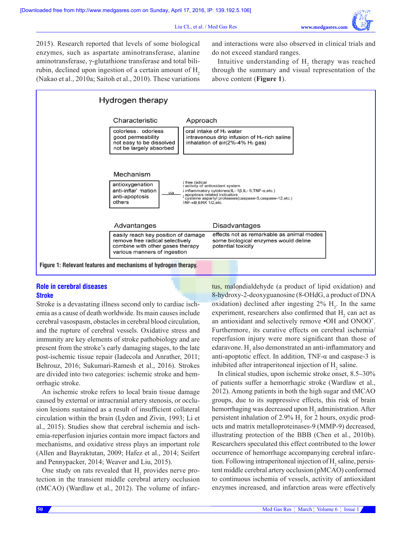2015). Research reported that levels of some biological enzymes, such as aspartate aminotransferase, alanine aminotransferase, γ-glutathione transferase and total bilirubin, declined upon ingestion of a certain amount of H<sub>2</sub> (Nakao et al., 2010a; Saitoh et al., 2010). These variations and interactions were also observed in clinical trials and do not exceed standard ranges.

Intuitive understanding of  $H_2$  therapy was reached through the summary and visual representation of the above content (**Figure 1**).



## **Role in cerebral diseases Stroke**

Stroke is a devastating illness second only to cardiac ischemia as a cause of death worldwide. Its main causes include cerebral vasospasm, obstacles in cerebral blood circulation, and the rupture of cerebral vessels. Oxidative stress and immunity are key elements of stroke pathobiology and are present from the stroke's early damaging stages, to the late post-ischemic tissue repair (Iadecola and Anrather, 2011; Behrouz, 2016; Sukumari-Ramesh et al., 2016). Strokes are divided into two categories: ischemic stroke and hemorrhagic stroke.

An ischemic stroke refers to local brain tissue damage caused by external or intracranial artery stenosis, or occlusion lesions sustained as a result of insufficient collateral circulation within the brain (Lyden and Zivin, 1993; Li et al., 2015). Studies show that cerebral ischemia and ischemia-reperfusion injuries contain more impact factors and mechanisms, and oxidative stress plays an important role (Allen and Bayraktutan, 2009; Hafez et al., 2014; Seifert and Pennypacker, 2014; Weaver and Liu, 2015).

One study on rats revealed that  $H_2$  provides nerve protection in the transient middle cerebral artery occlusion (tMCAO) (Wardlaw et al., 2012). The volume of infarctus, malondialdehyde (a product of lipid oxidation) and 8-hydroxy-2-deoxyguanosine (8-OHdG, a product of DNA oxidation) declined after ingesting  $2\%$  H<sub>2</sub>. In the same experiment, researchers also confirmed that  $H_2$  can act as an antioxidant and selectively remove •OH and ONOOˉ. Furthermore, its curative effects on cerebral ischemia/ reperfusion injury were more significant than those of edaravone.  $H_2$  also demonstrated an anti-inflammatory and anti-apoptotic effect. In addition,  $TNF-\alpha$  and caspase-3 is inhibited after intraperitoneal injection of  $H_2$  saline.

In clinical studies, upon ischemic stroke onset, 8.5–30% of patients suffer a hemorrhagic stroke (Wardlaw et al., 2012). Among patients in both the high sugar and tMCAO groups, due to its suppressive effects, this risk of brain hemorrhaging was decreased upon  $H_2$  administration. After persistent inhalation of 2.9%  $H_2$  for 2 hours, oxydic products and matrix metalloproteinases-9 (MMP-9) decreased, illustrating protection of the BBB (Chen et al., 2010b). Researchers speculated this effect contributed to the lower occurrence of hemorrhage accompanying cerebral infarction. Following intraperitoneal injection of  $H_2$  saline, persistent middle cerebral artery occlusion (pMCAO) conformed to continuous ischemia of vessels, activity of antioxidant enzymes increased, and infarction areas were effectively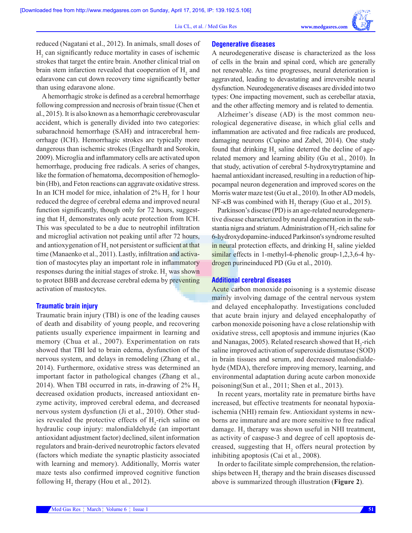

reduced (Nagatani et al., 2012). In animals, small doses of  $H<sub>2</sub>$  can significantly reduce mortality in cases of ischemic strokes that target the entire brain. Another clinical trial on brain stem infarction revealed that cooperation of  $H_2$  and edaravone can cut down recovery time significantly better than using edaravone alone.

A hemorrhagic stroke is defined as a cerebral hemorrhage following compression and necrosis of brain tissue (Chen et al., 2015). It is also known as a hemorrhagic cerebrovascular accident, which is generally divided into two categories: subarachnoid hemorrhage (SAH) and intracerebral hemorrhage (ICH). Hemorrhagic strokes are typically more dangerous than ischemic strokes (Engelhardt and Sorokin, 2009). Microglia and inflammatory cells are activated upon hemorrhage, producing free radicals. A series of changes, like the formation of hematoma, decomposition of hemoglobin (Hb), and Feton reactions can aggravate oxidative stress. In an ICH model for mice, inhalation of  $2\%$  H<sub>2</sub> for 1 hour reduced the degree of cerebral edema and improved neural function significantly, though only for 72 hours, suggesting that  $H_2$  demonstrates only acute protection from ICH. This was speculated to be a due to neutrophil infiltration and microglial activation not peaking until after 72 hours, and antioxygenation of  $H_2$  not persistent or sufficient at that time (Manaenko et al., 2011). Lastly, infiltration and activation of mastocytes play an important role in inflammatory responses during the initial stages of stroke.  $H_2$  was shown to protect BBB and decrease cerebral edema by preventing activation of mastocytes.

#### **Traumatic brain injury**

Traumatic brain injury (TBI) is one of the leading causes of death and disability of young people, and recovering patients usually experience impairment in learning and memory (Chua et al., 2007). Experimentation on rats showed that TBI led to brain edema, dysfunction of the nervous system, and delays in remodeling (Zhang et al., 2014). Furthermore, oxidative stress was determined an important factor in pathological changes (Zhang et al., 2014). When TBI occurred in rats, in-drawing of  $2\%$  H<sub>2</sub> decreased oxidation products, increased antioxidant enzyme activity, improved cerebral edema, and decreased nervous system dysfunction (Ji et al., 2010). Other studies revealed the protective effects of  $H_2$ -rich saline on hydraulic coup injury: malondialdehyde (an important antioxidant adjustment factor) declined, silent information regulators and brain-derived neurotrophic factors elevated (factors which mediate the synaptic plasticity associated with learning and memory). Additionally, Morris water maze tests also confirmed improved cognitive function following  $H_2$  therapy (Hou et al., 2012).

#### **Degenerative diseases**

A neurodegenerative disease is characterized as the loss of cells in the brain and spinal cord, which are generally not renewable. As time progresses, neural deterioration is aggravated, leading to devastating and irreversible neural dysfunction. Neurodegenerative diseases are divided into two types: One impacting movement, such as cerebellar ataxia, and the other affecting memory and is related to dementia.

Alzheimer's disease (AD) is the most common neurological degenerative disease, in which glial cells and inflammation are activated and free radicals are produced, damaging neurons (Cupino and Zabel, 2014). One study found that drinking  $H_2$  saline deterred the decline of agerelated memory and learning ability (Gu et al., 2010). In that study, activation of cerebral 5-hydroxytryptamine and haemal antioxidant increased, resulting in a reduction of hippocampal neuron degeneration and improved scores on the Morris water maze test (Gu et al., 2010). In other AD models, NF-κB was combined with  $H_2$  therapy (Guo et al., 2015).

Parkinson's disease (PD) is an age-related neurodegenerative disease characterized by neural degeneration in the substantia nigra and striatum. Administration of H<sub>2</sub>-rich saline for 6-hydroxydopamine-induced Parkinson's syndrome resulted in neural protection effects, and drinking H<sub>2</sub> saline yielded similar effects in 1-methyl-4-phenolic group-1,2,3,6-4 hydrogen purineinduced PD (Gu et al., 2010).

#### **Additional cerebral diseases**

Acute carbon monoxide poisoning is a systemic disease mainly involving damage of the central nervous system and delayed encephalopathy. Investigations concluded that acute brain injury and delayed encephalopathy of carbon monoxide poisoning have a close relationship with oxidative stress, cell apoptosis and immune injuries (Kao and Nanagas, 2005). Related research showed that  $H_2$ -rich saline improved activation of superoxide dismutase (SOD) in brain tissues and serum, and decreased malondialdehyde (MDA), therefore improving memory, learning, and environmental adaptation during acute carbon monoxide poisoning(Sun et al., 2011; Shen et al., 2013).

In recent years, mortality rate in premature births have increased, but effective treatments for neonatal hypoxiaischemia (NHI) remain few. Antioxidant systems in newborns are immature and are more sensitive to free radical damage.  $H_2$  therapy was shown useful in NHI treatment, as activity of caspase-3 and degree of cell apoptosis decreased, suggesting that  $H_2$  offers neural protection by inhibiting apoptosis (Cai et al., 2008).

In order to facilitate simple comprehension, the relationships between  $H_2$  therapy and the brain diseases discussed above is summarized through illustration (**Figure 2**).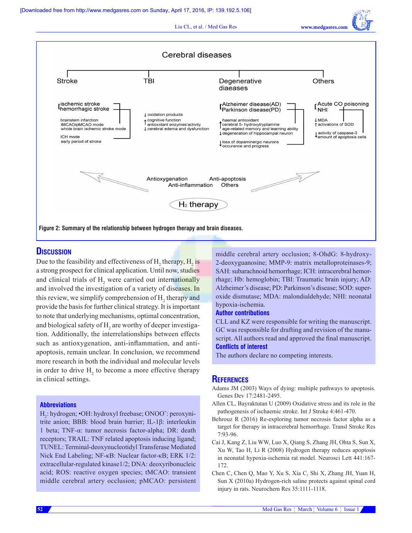Liu CL, et al. / Med Gas Res **www.medgasres.com**



# **Discussion**

Due to the feasibility and effectiveness of  $H_2$  therapy,  $H_2$  is a strong prospect for clinical application. Until now, studies and clinical trials of  $H_2$  were carried out internationally and involved the investigation of a variety of diseases. In this review, we simplify comprehension of  $H_2$  therapy and provide the basis for further clinical strategy. It is important to note that underlying mechanisms, optimal concentration, and biological safety of  $H_2$  are worthy of deeper investigation. Additionally, the interrelationships between effects such as antioxygenation, anti-inflammation, and antiapoptosis, remain unclear. In conclusion, we recommend more research in both the individual and molecular levels in order to drive  $H_2$  to become a more effective therapy in clinical settings.

#### **Abbreviations**

H2 : hydrogen; •OH: hydroxyl freebase; ONOOˉ: peroxynitrite anion; BBB: blood brain barrier; IL-1β: interleukin 1 beta; TNF-α: tumor necrosis factor-alpha; DR: death receptors; TRAIL: TNF related apoptosis inducing ligand; TUNEL: Terminal-deoxynucleotidyl Transferase Mediated Nick End Labeling; NF-κB: Nuclear factor-κB; ERK 1/2: extracellular-regulated kinase1/2; DNA: deoxyribonucleic acid; ROS: reactive oxygen species; tMCAO: transient middle cerebral artery occlusion; pMCAO: persistent middle cerebral artery occlusion; 8-OhdG: 8-hydroxy-2-deoxyguanosine; MMP-9: matrix metalloproteinases-9; SAH: subarachnoid hemorrhage; ICH: intracerebral hemorrhage; Hb: hemoglobin; TBI: Traumatic brain injury; AD: Alzheimer's disease; PD: Parkinson's disease; SOD: superoxide dismutase; MDA: malondialdehyde; NHI: neonatal hypoxia-ischemia.

#### **Author contributions**

CLL and KZ were responsible for writing the manuscript. GC was responsible for drafting and revision of the manuscript. All authors read and approved the final manuscript. **Conflicts of interest**

The authors declare no competing interests.

#### **References**

- Adams JM (2003) Ways of dying: multiple pathways to apoptosis. Genes Dev 17:2481-2495.
- Allen CL, Bayraktutan U (2009) Oxidative stress and its role in the pathogenesis of ischaemic stroke. Int J Stroke 4:461-470.
- Behrouz R (2016) Re-exploring tumor necrosis factor alpha as a target for therapy in intracerebral hemorrhage. Transl Stroke Res 7:93-96.
- Cai J, Kang Z, Liu WW, Luo X, Qiang S, Zhang JH, Ohta S, Sun X, Xu W, Tao H, Li R (2008) Hydrogen therapy reduces apoptosis in neonatal hypoxia-ischemia rat model. Neurosci Lett 441:167- 172.
- Chen C, Chen Q, Mao Y, Xu S, Xia C, Shi X, Zhang JH, Yuan H, Sun X (2010a) Hydrogen-rich saline protects against spinal cord injury in rats. Neurochem Res 35:1111-1118.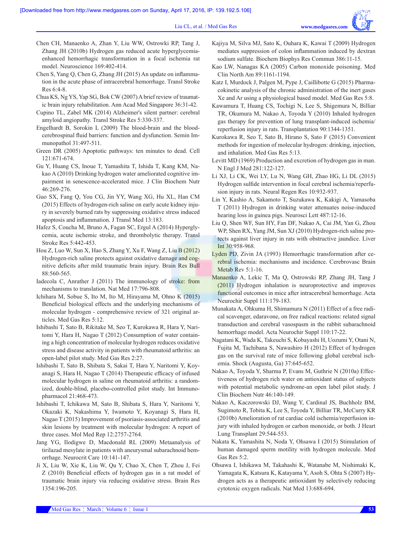- Chen CH, Manaenko A, Zhan Y, Liu WW, Ostrowki RP, Tang J, Zhang JH (2010b) Hydrogen gas reduced acute hyperglycemiaenhanced hemorrhagic transformation in a focal ischemia rat model. Neuroscience 169:402-414.
- Chen S, Yang Q, Chen G, Zhang JH (2015) An update on inflammation in the acute phase of intracerebral hemorrhage. Transl Stroke Res 6:4-8.
- Chua KS, Ng YS, Yap SG, Bok CW (2007) A brief review of traumatic brain injury rehabilitation. Ann Acad Med Singapore 36:31-42.
- Cupino TL, Zabel MK (2014) Alzheimer's silent partner: cerebral amyloid angiopathy. Transl Stroke Res 5:330-337.
- Engelhardt B, Sorokin L (2009) The blood-brain and the bloodcerebrospinal fluid barriers: function and dysfunction. Semin Immunopathol 31:497-511.
- Green DR (2005) Apoptotic pathways: ten minutes to dead. Cell 121:671-674.
- Gu Y, Huang CS, Inoue T, Yamashita T, Ishida T, Kang KM, Nakao A (2010) Drinking hydrogen water ameliorated cognitive impairment in senescence-accelerated mice. J Clin Biochem Nutr 46:269-276.
- Guo SX, Fang Q, You CG, Jin YY, Wang XG, Hu XL, Han CM (2015) Effects of hydrogen-rich saline on early acute kidney injury in severely burned rats by suppressing oxidative stress induced apoptosis and inflammation. J Transl Med 13:183.
- Hafez S, Coucha M, Bruno A, Fagan SC, Ergul A (2014) Hyperglycemia, acute ischemic stroke, and thrombolytic therapy. Transl Stroke Res 5:442-453.
- Hou Z, Luo W, Sun X, Hao S, Zhang Y, Xu F, Wang Z, Liu B (2012) Hydrogen-rich saline protects against oxidative damage and cognitive deficits after mild traumatic brain injury. Brain Res Bull 88:560-565.
- Iadecola C, Anrather J (2011) The immunology of stroke: from mechanisms to translation. Nat Med 17:796-808.
- Ichihara M, Sobue S, Ito M, Ito M, Hirayama M, Ohno K (2015) Beneficial biological effects and the underlying mechanisms of molecular hydrogen - comprehensive review of 321 original articles. Med Gas Res 5:12.
- Ishibashi T, Sato B, Rikitake M, Seo T, Kurokawa R, Hara Y, Naritomi Y, Hara H, Nagao T (2012) Consumption of water containing a high concentration of molecular hydrogen reduces oxidative stress and disease activity in patients with rheumatoid arthritis: an open-label pilot study. Med Gas Res 2:27.
- Ishibashi T, Sato B, Shibata S, Sakai T, Hara Y, Naritomi Y, Koyanagi S, Hara H, Nagao T (2014) Therapeutic efficacy of infused molecular hydrogen in saline on rheumatoid arthritis: a randomized, double-blind, placebo-controlled pilot study. Int Immunopharmacol 21:468-473.
- Ishibashi T, Ichikawa M, Sato B, Shibata S, Hara Y, Naritomi Y, Okazaki K, Nakashima Y, Iwamoto Y, Koyanagi S, Hara H, Nagao T (2015) Improvement of psoriasis-associated arthritis and skin lesions by treatment with molecular hydrogen: A report of three cases. Mol Med Rep 12:2757-2764.
- Jang YG, Ilodigwe D, Macdonald RL (2009) Metaanalysis of tirilazad mesylate in patients with aneurysmal subarachnoid hemorrhage. Neurocrit Care 10:141-147.
- Ji X, Liu W, Xie K, Liu W, Qu Y, Chao X, Chen T, Zhou J, Fei Z (2010) Beneficial effects of hydrogen gas in a rat model of traumatic brain injury via reducing oxidative stress. Brain Res 1354:196-205.
- Kajiya M, Silva MJ, Sato K, Ouhara K, Kawai T (2009) Hydrogen mediates suppression of colon inflammation induced by dextran sodium sulfate. Biochem Biophys Res Commun 386:11-15.
- Kao LW, Nanagas KA (2005) Carbon monoxide poisoning. Med Clin North Am 89:1161-1194.
- Katz I, Murdock J, Palgen M, Pype J, Caillibotte G (2015) Pharmacokinetic analysis of the chronic administration of the inert gases Xe and Ar using a physiological based model. Med Gas Res 5:8.
- Kawamura T, Huang CS, Tochigi N, Lee S, Shigemura N, Billiar TR, Okumura M, Nakao A, Toyoda Y (2010) Inhaled hydrogen gas therapy for prevention of lung transplant-induced ischemia/ reperfusion injury in rats. Transplantation 90:1344-1351.
- Kurokawa R, Seo T, Sato B, Hirano S, Sato F (2015) Convenient methods for ingestion of molecular hydrogen: drinking, injection, and inhalation. Med Gas Res 5:13.
- Levitt MD (1969) Production and excretion of hydrogen gas in man. N Engl J Med 281:122-127.
- Li XJ, Li CK, Wei LY, Lu N, Wang GH, Zhao HG, Li DL (2015) Hydrogen sulfide intervention in focal cerebral ischemia/reperfusion injury in rats. Neural Regen Res 10:932-937.
- Lin Y, Kashio A, Sakamoto T, Suzukawa K, Kakigi A, Yamasoba T (2011) Hydrogen in drinking water attenuates noise-induced hearing loss in guinea pigs. Neurosci Lett 487:12-16.
- Liu Q, Shen WF, Sun HY, Fan DF, Nakao A, Cai JM, Yan G, Zhou WP, Shen RX, Yang JM, Sun XJ (2010) Hydrogen-rich saline protects against liver injury in rats with obstructive jaundice. Liver Int 30:958-968.
- Lyden PD, Zivin JA (1993) Hemorrhagic transformation after cerebral ischemia: mechanisms and incidence. Cerebrovasc Brain Metab Rev 5:1-16.
- Manaenko A, Lekic T, Ma Q, Ostrowski RP, Zhang JH, Tang J (2011) Hydrogen inhalation is neuroprotective and improves functional outcomes in mice after intracerebral hemorrhage. Acta Neurochir Suppl 111:179-183.
- Munakata A, Ohkuma H, Shimamura N (2011) Effect of a free radical scavenger, edaravone, on free radical reactions: related signal transduction and cerebral vasospasm in the rabbit subarachnoid hemorrhage model. Acta Neurochir Suppl 110:17-22.
- Nagatani K, Wada K, Takeuchi S, Kobayashi H, Uozumi Y, Otani N, Fujita M, Tachibana S, Nawashiro H (2012) Effect of hydrogen gas on the survival rate of mice following global cerebral ischemia. Shock (Augusta, Ga) 37:645-652.
- Nakao A, Toyoda Y, Sharma P, Evans M, Guthrie N (2010a) Effectiveness of hydrogen rich water on antioxidant status of subjects with potential metabolic syndrome-an open label pilot study. J Clin Biochem Nutr 46:140-149.
- Nakao A, Kaczorowski DJ, Wang Y, Cardinal JS, Buchholz BM, Sugimoto R, Tobita K, Lee S, Toyoda Y, Billiar TR, McCurry KR (2010b) Amelioration of rat cardiac cold ischemia/reperfusion injury with inhaled hydrogen or carbon monoxide, or both. J Heart Lung Transplant 29:544-553.
- Nakata K, Yamashita N, Noda Y, Ohsawa I (2015) Stimulation of human damaged sperm motility with hydrogen molecule. Med Gas Res 5:2.
- Ohsawa I, Ishikawa M, Takahashi K, Watanabe M, Nishimaki K, Yamagata K, Katsura K, Katayama Y, Asoh S, Ohta S (2007) Hydrogen acts as a therapeutic antioxidant by selectively reducing cytotoxic oxygen radicals. Nat Med 13:688-694.